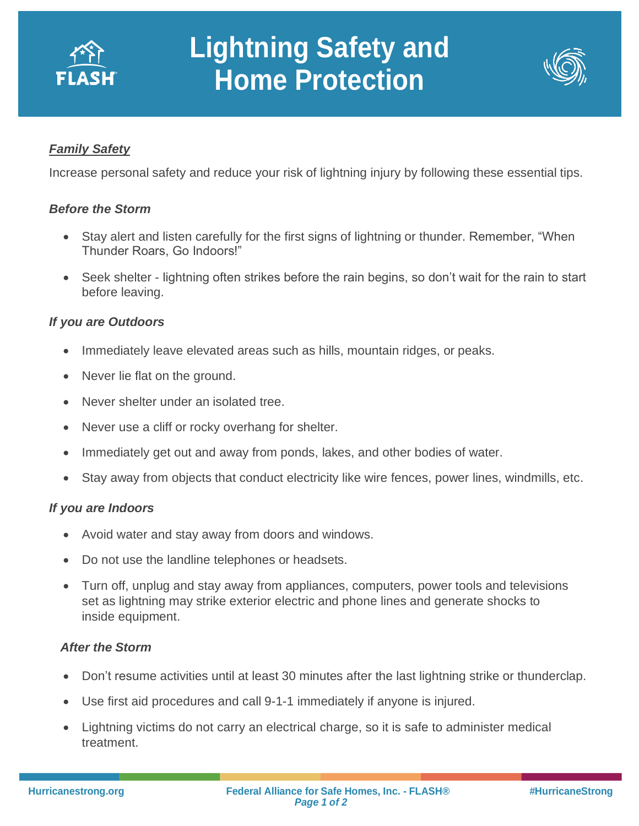

# **Lightning Safety and Home Protection**



## *Family Safety*

Increase personal safety and reduce your risk of lightning injury by following these essential tips.

#### *Before the Storm*

- Stay alert and listen carefully for the first signs of lightning or thunder. Remember, "When Thunder Roars, Go Indoors!"
- Seek shelter lightning often strikes before the rain begins, so don't wait for the rain to start before leaving.

## *If you are Outdoors*

• Immediately leave elevated areas such as hills, mountain ridges, or peaks.

**Protection** 

- Never lie flat on the ground.
- Never shelter under an isolated tree.
- Never use a cliff or rocky overhang for shelter.
- Immediately get out and away from ponds, lakes, and other bodies of water.
- Stay away from objects that conduct electricity like wire fences, power lines, windmills, etc.

### *If you are Indoors*

- Avoid water and stay away from doors and windows.
- Do not use the landline telephones or headsets.
- Turn off, unplug and stay away from appliances, computers, power tools and televisions set as lightning may strike exterior electric and phone lines and generate shocks to inside equipment.

### *After the Storm*

- Don't resume activities until at least 30 minutes after the last lightning strike or thunderclap.
- Use first aid procedures and call 9-1-1 immediately if anyone is injured.
- Lightning victims do not carry an electrical charge, so it is safe to administer medical treatment.